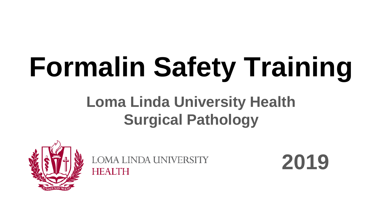# **Formalin Safety Training**

#### **Loma Linda University Health Surgical Pathology**



**LOMA LINDA UNIVERSITY HEALTH** 

**2019**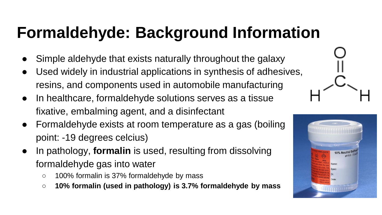#### **Formaldehyde: Background Information**

- Simple aldehyde that exists naturally throughout the galaxy
- Used widely in industrial applications in synthesis of adhesives, resins, and components used in automobile manufacturing
- In healthcare, formaldehyde solutions serves as a tissue fixative, embalming agent, and a disinfectant
- Formaldehyde exists at room temperature as a gas (boiling point: -19 degrees celcius)
- In pathology, **formalin** is used, resulting from dissolving formaldehyde gas into water
	- 100% formalin is 37% formaldehyde by mass
	- **10% formalin (used in pathology) is 3.7% formaldehyde by mass**

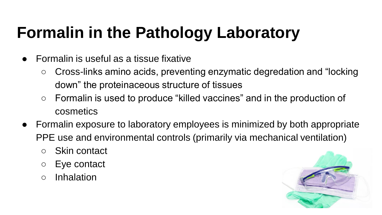# **Formalin in the Pathology Laboratory**

- $\bullet$  Formalin is useful as a tissue fixative
	- Cross-links amino acids, preventing enzymatic degredation and "locking down" the proteinaceous structure of tissues
	- Formalin is used to produce "killed vaccines" and in the production of cosmetics
- Formalin exposure to laboratory employees is minimized by both appropriate PPE use and environmental controls (primarily via mechanical ventilation)
	- Skin contact
	- Eye contact
	- Inhalation

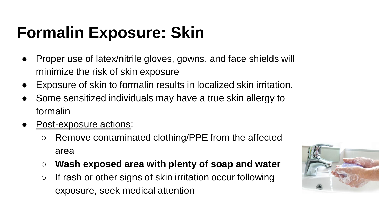#### **Formalin Exposure: Skin**

- Proper use of latex/nitrile gloves, gowns, and face shields will minimize the risk of skin exposure
- Exposure of skin to formalin results in localized skin irritation.
- Some sensitized individuals may have a true skin allergy to formalin
- Post-exposure actions:
	- Remove contaminated clothing/PPE from the affected area
	- **Wash exposed area with plenty of soap and water**
	- If rash or other signs of skin irritation occur following exposure, seek medical attention

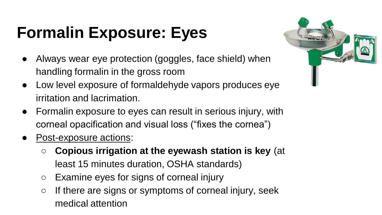# **Formalin Exposure: Eyes**

- Always wear eye protection (goggles, face shield) when handling formalin in the gross room
- Low level exposure of formaldehyde vapors produces eye irritation and lacrimation.
- Formalin exposure to eyes can result in serious injury, with corneal opacification and visual loss ("fixes the cornea")
- Post-exposure actions:
	- **Copious irrigation at the eyewash station is key** (at least 15 minutes duration, OSHA standards)
	- Examine eyes for signs of corneal injury
	- $\circ$  If there are signs or symptoms of corneal injury, seek medical attention

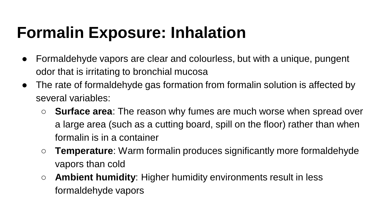#### **Formalin Exposure: Inhalation**

- Formaldehyde vapors are clear and colourless, but with a unique, pungent odor that is irritating to bronchial mucosa
- The rate of formaldehyde gas formation from formalin solution is affected by several variables:
	- **Surface area**: The reason why fumes are much worse when spread over a large area (such as a cutting board, spill on the floor) rather than when formalin is in a container
	- **Temperature**: Warm formalin produces significantly more formaldehyde vapors than cold
	- **Ambient humidity**: Higher humidity environments result in less formaldehyde vapors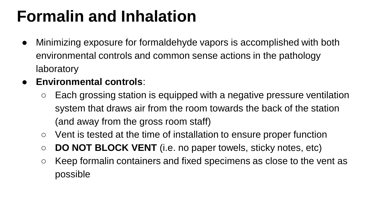#### **Formalin and Inhalation**

- Minimizing exposure for formaldehyde vapors is accomplished with both environmental controls and common sense actions in the pathology laboratory
- **Environmental controls**:
	- Each grossing station is equipped with a negative pressure ventilation system that draws air from the room towards the back of the station (and away from the gross room staff)
	- Vent is tested at the time of installation to ensure proper function
	- **DO NOT BLOCK VENT** (i.e. no paper towels, sticky notes, etc)
	- Keep formalin containers and fixed specimens as close to the vent as possible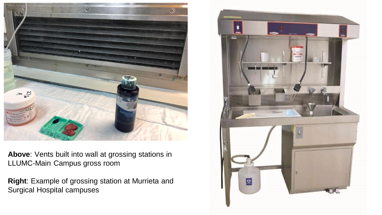

**Above**: Vents built into wall at grossing stations in LLUMC-Main Campus gross room

**Right**: Example of grossing station at Murrieta and Surgical Hospital campuses

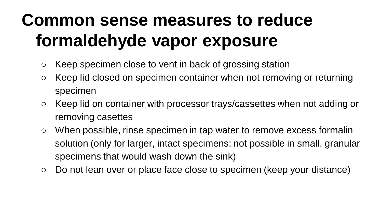# **Common sense measures to reduce formaldehyde vapor exposure**

- Keep specimen close to vent in back of grossing station
- Keep lid closed on specimen container when not removing or returning specimen
- Keep lid on container with processor trays/cassettes when not adding or removing casettes
- When possible, rinse specimen in tap water to remove excess formalin solution (only for larger, intact specimens; not possible in small, granular specimens that would wash down the sink)
- Do not lean over or place face close to specimen (keep your distance)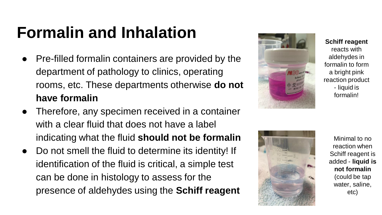#### **Formalin and Inhalation**

- Pre-filled formalin containers are provided by the department of pathology to clinics, operating rooms, etc. These departments otherwise **do not have formalin**
- Therefore, any specimen received in a container with a clear fluid that does not have a label indicating what the fluid **should not be formalin**
- Do not smell the fluid to determine its identity! If identification of the fluid is critical, a simple test can be done in histology to assess for the presence of aldehydes using the **Schiff reagent**



**Schiff reagent** 

reacts with aldehydes in formalin to form a bright pink reaction product - liquid is formalin!



Minimal to no reaction when Schiff reagent is added - **liquid is not formalin** (could be tap water, saline, etc)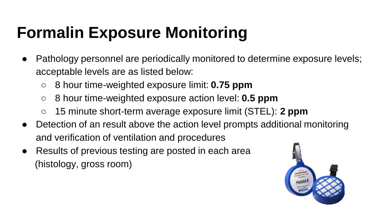### **Formalin Exposure Monitoring**

- Pathology personnel are periodically monitored to determine exposure levels; acceptable levels are as listed below:
	- 8 hour time-weighted exposure limit: **0.75 ppm**
	- 8 hour time-weighted exposure action level: **0.5 ppm**
	- 15 minute short-term average exposure limit (STEL): **2 ppm**
- Detection of an result above the action level prompts additional monitoring and verification of ventilation and procedures
- Results of previous testing are posted in each area (histology, gross room)

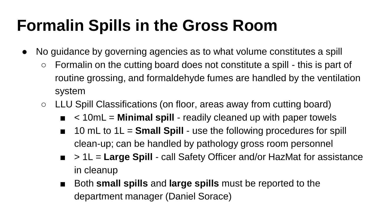#### **Formalin Spills in the Gross Room**

- No guidance by governing agencies as to what volume constitutes a spill
	- $\circ$  Formalin on the cutting board does not constitute a spill this is part of routine grossing, and formaldehyde fumes are handled by the ventilation system
	- LLU Spill Classifications (on floor, areas away from cutting board)
		- $\leq$  10mL = **Minimal spill** readily cleaned up with paper towels
		- 10 mL to 1L = **Small Spill** use the following procedures for spill clean-up; can be handled by pathology gross room personnel
		- > 1L = **Large Spill** call Safety Officer and/or HazMat for assistance in cleanup
		- Both **small spills** and **large spills** must be reported to the department manager (Daniel Sorace)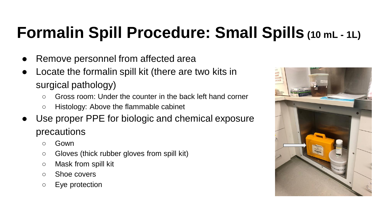#### **Formalin Spill Procedure: Small Spills (10 mL - 1L)**

- Remove personnel from affected area
- Locate the formalin spill kit (there are two kits in surgical pathology)
	- $\circ$  Gross room: Under the counter in the back left hand corner
	- Histology: Above the flammable cabinet
- Use proper PPE for biologic and chemical exposure precautions
	- Gown
	- Gloves (thick rubber gloves from spill kit)
	- Mask from spill kit
	- Shoe covers
	- Eye protection

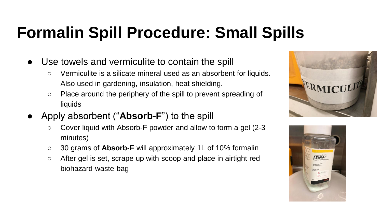#### **Formalin Spill Procedure: Small Spills**

- Use towels and vermiculite to contain the spill
	- Vermiculite is a silicate mineral used as an absorbent for liquids. Also used in gardening, insulation, heat shielding.
	- Place around the periphery of the spill to prevent spreading of liquids
- Apply absorbent ("**Absorb-F**") to the spill
	- Cover liquid with Absorb-F powder and allow to form a gel (2-3 minutes)
	- 30 grams of **Absorb-F** will approximately 1L of 10% formalin
	- After gel is set, scrape up with scoop and place in airtight red biohazard waste bag



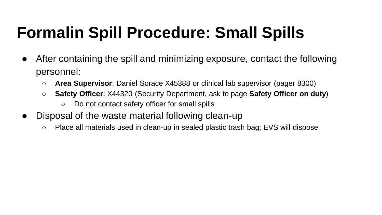# **Formalin Spill Procedure: Small Spills**

- After containing the spill and minimizing exposure, contact the following personnel:
	- **Area Supervisor**: Daniel Sorace X45388 or clinical lab supervisor (pager 8300)
	- **Safety Officer**: X44320 (Security Department, ask to page **Safety Officer on duty**)
		- Do not contact safety officer for small spills
- Disposal of the waste material following clean-up
	- Place all materials used in clean-up in sealed plastic trash bag; EVS will dispose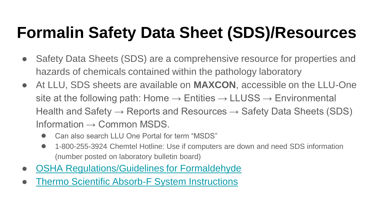### **Formalin Safety Data Sheet (SDS)/Resources**

- Safety Data Sheets (SDS) are a comprehensive resource for properties and hazards of chemicals contained within the pathology laboratory
- At LLU, SDS sheets are available on **MAXCON**, accessible on the LLU-One site at the following path: Home  $\rightarrow$  Entities  $\rightarrow$  LLUSS  $\rightarrow$  Environmental Health and Safety  $\rightarrow$  Reports and Resources  $\rightarrow$  Safety Data Sheets (SDS) Information  $\rightarrow$  Common MSDS.
	- Can also search LLU One Portal for term "MSDS"
	- 1-800-255-3924 Chemtel Hotline: Use if computers are down and need SDS information (number posted on laboratory bulletin board)
- **[OSHA Regulations/Guidelines for Formaldehyde](https://www.osha.gov/pls/oshaweb/owadisp.show_document?p_id=10075&p_table=STANDARDS)**
- **[Thermo Scientific Absorb-F System Instructions](https://assets.thermofisher.com/TFS-Assets/APD/manuals/IS5400-Absorb-F-Formaldehyde-Spill.pdf)**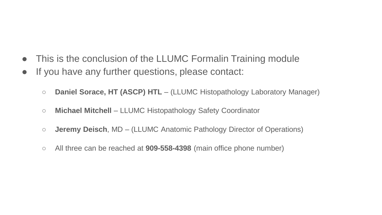- This is the conclusion of the LLUMC Formalin Training module
- If you have any further questions, please contact:
	- **Daniel Sorace, HT (ASCP) HTL**  (LLUMC Histopathology Laboratory Manager)
	- **Michael Mitchell**  LLUMC Histopathology Safety Coordinator
	- **Jeremy Deisch**, MD (LLUMC Anatomic Pathology Director of Operations)
	- All three can be reached at **909-558-4398** (main office phone number)